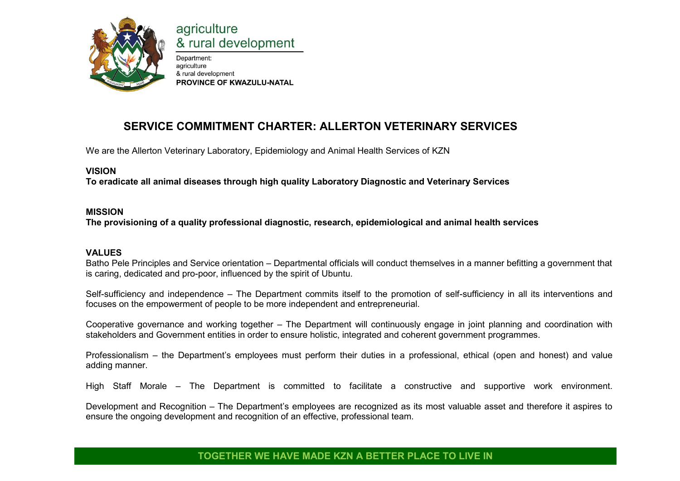

# agriculture & rural development

Department: agriculture & rural development PROVINCE OF KWAZULU-NATAL

# **SERVICE COMMITMENT CHARTER: ALLERTON VETERINARY SERVICES**

We are the Allerton Veterinary Laboratory, Epidemiology and Animal Health Services of KZN

# **VISION**

**To eradicate all animal diseases through high quality Laboratory Diagnostic and Veterinary Services** 

# **MISSION**

**The provisioning of a quality professional diagnostic, research, epidemiological and animal health services** 

# **VALUES**

Batho Pele Principles and Service orientation – Departmental officials will conduct themselves in a manner befitting a government that is caring, dedicated and pro-poor, influenced by the spirit of Ubuntu.

Self-sufficiency and independence – The Department commits itself to the promotion of self-sufficiency in all its interventions and focuses on the empowerment of people to be more independent and entrepreneurial.

Cooperative governance and working together – The Department will continuously engage in joint planning and coordination with stakeholders and Government entities in order to ensure holistic, integrated and coherent government programmes.

Professionalism – the Department's employees must perform their duties in a professional, ethical (open and honest) and value adding manner.

High Staff Morale – The Department is committed to facilitate a constructive and supportive work environment.

Development and Recognition – The Department's employees are recognized as its most valuable asset and therefore it aspires to ensure the ongoing development and recognition of an effective, professional team.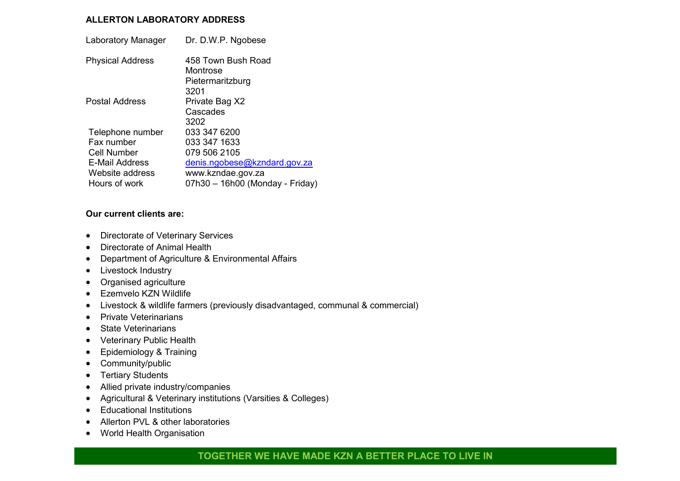#### **ALLERTON LABORATORY ADDRESS**

| Laboratory Manager      | Dr. D.W.P. Ngobese                                         |
|-------------------------|------------------------------------------------------------|
| <b>Physical Address</b> | 458 Town Bush Road<br>Montrose<br>Pietermaritzburg<br>3201 |
| Postal Address          | Private Bag X2<br>Cascades<br>3202                         |
| Telephone number        | 033 347 6200                                               |
| Fax number              | 033 347 1633                                               |
| Cell Number             | 079 506 2105                                               |
| E-Mail Address          | denis.ngobese@kzndard.gov.za                               |
| Website address         | www.kzndae.gov.za                                          |
| Hours of work           | 07h30 - 16h00 (Monday - Friday)                            |

#### **Our current clients are:**

- Directorate of Veterinary Services
- Directorate of Animal Health
- Department of Agriculture & Environmental Affairs
- Livestock Industry
- Organised agriculture
- Ezemvelo KZN Wildlife
- Livestock & wildlife farmers (previously disadvantaged, communal & commercial)
- Private Veterinarians
- State Veterinarians
- Veterinary Public Health
- Epidemiology & Training
- Community/public
- Tertiary Students
- Allied private industry/companies
- Agricultural & Veterinary institutions (Varsities & Colleges)
- Educational Institutions
- Allerton PVL & other laboratories
- World Health Organisation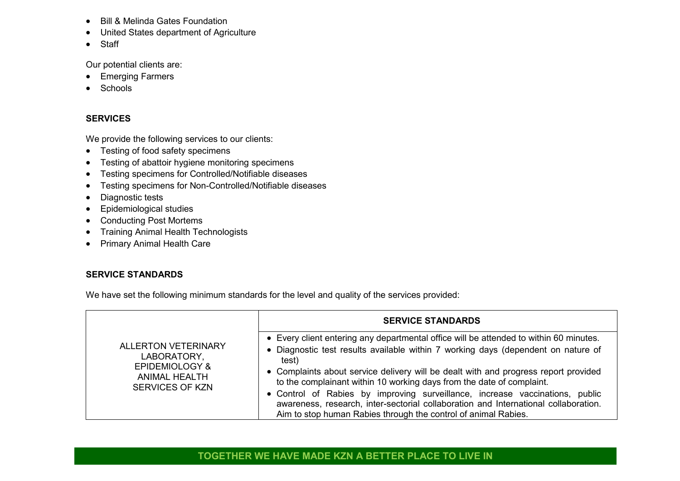- Bill & Melinda Gates Foundation
- United States department of Agriculture
- Staff

Our potential clients are:

- **•** Emerging Farmers
- Schools

# **SERVICES**

We provide the following services to our clients:

- Testing of food safety specimens
- Testing of abattoir hygiene monitoring specimens
- Testing specimens for Controlled/Notifiable diseases
- Testing specimens for Non-Controlled/Notifiable diseases
- Diagnostic tests
- Epidemiological studies
- Conducting Post Mortems
- Training Animal Health Technologists
- Primary Animal Health Care

# **SERVICE STANDARDS**

We have set the following minimum standards for the level and quality of the services provided:

|                                                                                                                          | <b>SERVICE STANDARDS</b>                                                                                                                                                                                                                                                                                                                                                                                                                                                                                                                                                                      |
|--------------------------------------------------------------------------------------------------------------------------|-----------------------------------------------------------------------------------------------------------------------------------------------------------------------------------------------------------------------------------------------------------------------------------------------------------------------------------------------------------------------------------------------------------------------------------------------------------------------------------------------------------------------------------------------------------------------------------------------|
| <b>ALLERTON VETERINARY</b><br>LABORATORY,<br><b>EPIDEMIOLOGY &amp;</b><br><b>ANIMAL HEALTH</b><br><b>SERVICES OF KZN</b> | • Every client entering any departmental office will be attended to within 60 minutes.<br>• Diagnostic test results available within 7 working days (dependent on nature of<br>test)<br>• Complaints about service delivery will be dealt with and progress report provided<br>to the complainant within 10 working days from the date of complaint.<br>• Control of Rabies by improving surveillance, increase vaccinations, public<br>awareness, research, inter-sectorial collaboration and International collaboration.<br>Aim to stop human Rabies through the control of animal Rabies. |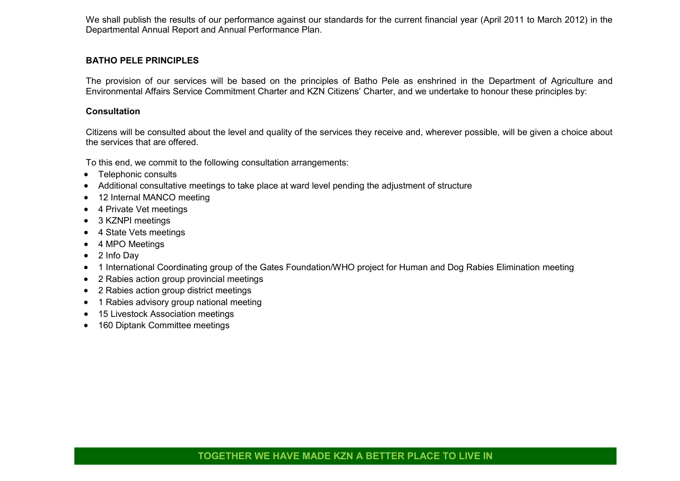We shall publish the results of our performance against our standards for the current financial year (April 2011 to March 2012) in the Departmental Annual Report and Annual Performance Plan.

#### **BATHO PELE PRINCIPLES**

The provision of our services will be based on the principles of Batho Pele as enshrined in the Department of Agriculture and Environmental Affairs Service Commitment Charter and KZN Citizens' Charter, and we undertake to honour these principles by:

#### **Consultation**

Citizens will be consulted about the level and quality of the services they receive and, wherever possible, will be given a choice about the services that are offered.

To this end, we commit to the following consultation arrangements:

- Telephonic consults
- Additional consultative meetings to take place at ward level pending the adjustment of structure
- 12 Internal MANCO meeting
- 4 Private Vet meetings
- 3 KZNPI meetings
- 4 State Vets meetings
- 4 MPO Meetings
- 2 Info Dav
- 1 International Coordinating group of the Gates Foundation/WHO project for Human and Dog Rabies Elimination meeting
- 2 Rabies action group provincial meetings
- 2 Rabies action group district meetings
- 1 Rabies advisory group national meeting
- 15 Livestock Association meetings
- 160 Diptank Committee meetings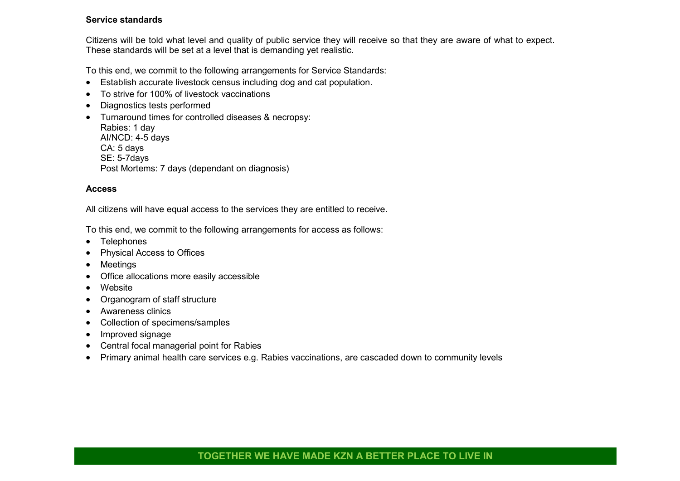#### **Service standards**

Citizens will be told what level and quality of public service they will receive so that they are aware of what to expect. These standards will be set at a level that is demanding yet realistic.

To this end, we commit to the following arrangements for Service Standards:

- Establish accurate livestock census including dog and cat population.
- To strive for 100% of livestock vaccinations
- Diagnostics tests performed
- Turnaround times for controlled diseases & necropsy: Rabies: 1 day AI/NCD: 4-5 days CA: 5 days SE: 5-7days Post Mortems: 7 days (dependant on diagnosis)

#### **Access**

All citizens will have equal access to the services they are entitled to receive.

To this end, we commit to the following arrangements for access as follows:

- Telephones
- Physical Access to Offices
- Meetings
- Office allocations more easily accessible
- Website
- Organogram of staff structure
- Awareness clinics
- Collection of specimens/samples
- Improved signage
- Central focal managerial point for Rabies
- Primary animal health care services e.g. Rabies vaccinations, are cascaded down to community levels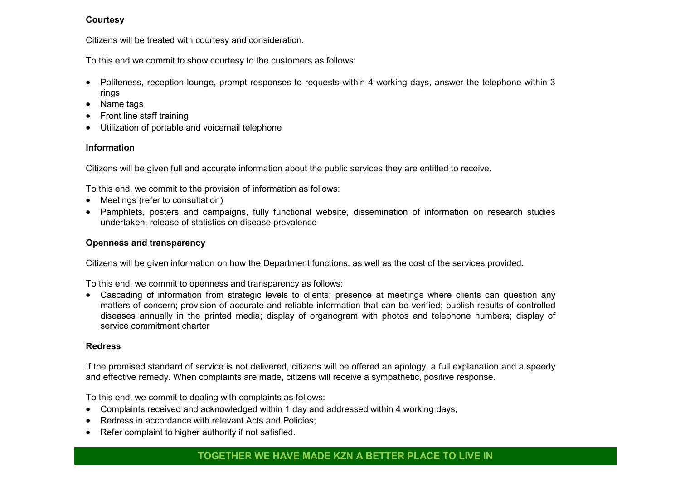#### **Courtesy**

Citizens will be treated with courtesy and consideration.

To this end we commit to show courtesy to the customers as follows:

- Politeness, reception lounge, prompt responses to requests within 4 working days, answer the telephone within 3 rings
- Name tags
- Front line staff training
- Utilization of portable and voicemail telephone

# **Information**

Citizens will be given full and accurate information about the public services they are entitled to receive.

To this end, we commit to the provision of information as follows:

- Meetings (refer to consultation)
- Pamphlets, posters and campaigns, fully functional website, dissemination of information on research studies undertaken, release of statistics on disease prevalence

# **Openness and transparency**

Citizens will be given information on how the Department functions, as well as the cost of the services provided.

To this end, we commit to openness and transparency as follows:

 Cascading of information from strategic levels to clients; presence at meetings where clients can question any matters of concern; provision of accurate and reliable information that can be verified; publish results of controlled diseases annually in the printed media; display of organogram with photos and telephone numbers; display of service commitment charter

#### **Redress**

If the promised standard of service is not delivered, citizens will be offered an apology, a full explanation and a speedy and effective remedy. When complaints are made, citizens will receive a sympathetic, positive response.

To this end, we commit to dealing with complaints as follows:

- Complaints received and acknowledged within 1 day and addressed within 4 working days,
- Redress in accordance with relevant Acts and Policies:
- Refer complaint to higher authority if not satisfied.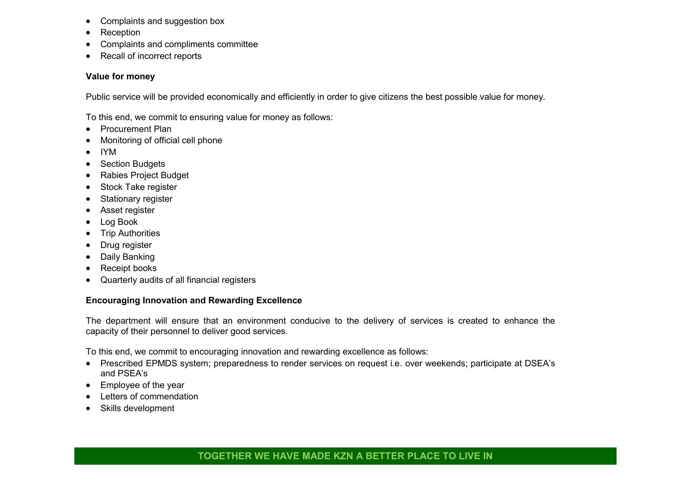- Complaints and suggestion box
- Reception
- Complaints and compliments committee
- Recall of incorrect reports

# **Value for money**

Public service will be provided economically and efficiently in order to give citizens the best possible value for money.

To this end, we commit to ensuring value for money as follows:

- Procurement Plan
- Monitoring of official cell phone
- IYM
- Section Budgets
- Rabies Project Budget
- Stock Take register
- Stationary register
- Asset register
- Log Book
- Trip Authorities
- Drug register
- Daily Banking
- Receipt books
- Quarterly audits of all financial registers

# **Encouraging Innovation and Rewarding Excellence**

The department will ensure that an environment conducive to the delivery of services is created to enhance the capacity of their personnel to deliver good services.

To this end, we commit to encouraging innovation and rewarding excellence as follows:

- Prescribed EPMDS system; preparedness to render services on request i.e. over weekends; participate at DSEA's and PSEA's
- Employee of the year
- Letters of commendation
- Skills development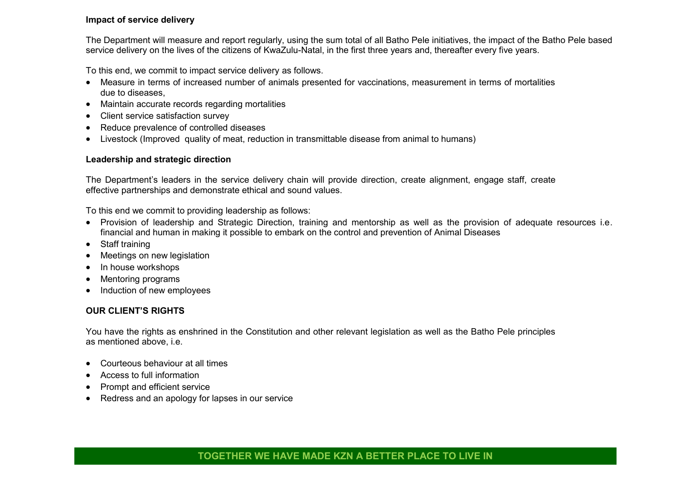#### **Impact of service delivery**

The Department will measure and report regularly, using the sum total of all Batho Pele initiatives, the impact of the Batho Pele based service delivery on the lives of the citizens of KwaZulu-Natal, in the first three years and, thereafter every five years.

To this end, we commit to impact service delivery as follows.

- Measure in terms of increased number of animals presented for vaccinations, measurement in terms of mortalities due to diseases,
- Maintain accurate records regarding mortalities
- Client service satisfaction survey
- Reduce prevalence of controlled diseases
- Livestock (Improved quality of meat, reduction in transmittable disease from animal to humans)

#### **Leadership and strategic direction**

The Department's leaders in the service delivery chain will provide direction, create alignment, engage staff, create effective partnerships and demonstrate ethical and sound values.

To this end we commit to providing leadership as follows:

- Provision of leadership and Strategic Direction, training and mentorship as well as the provision of adequate resources i.e. financial and human in making it possible to embark on the control and prevention of Animal Diseases
- Staff training
- Meetings on new legislation
- In house workshops
- Mentoring programs
- Induction of new employees

# **OUR CLIENT'S RIGHTS**

You have the rights as enshrined in the Constitution and other relevant legislation as well as the Batho Pele principles as mentioned above, i.e.

- Courteous behaviour at all times
- Access to full information
- Prompt and efficient service
- Redress and an apology for lapses in our service